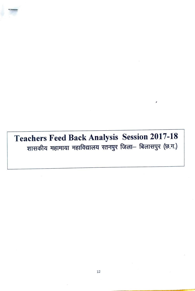Teachers Feed Back Analysis Session 2017-18<br>शासकीय महामाया महाविद्यालय रतनपुर जिला- बिलासपुर (छ.ग.)